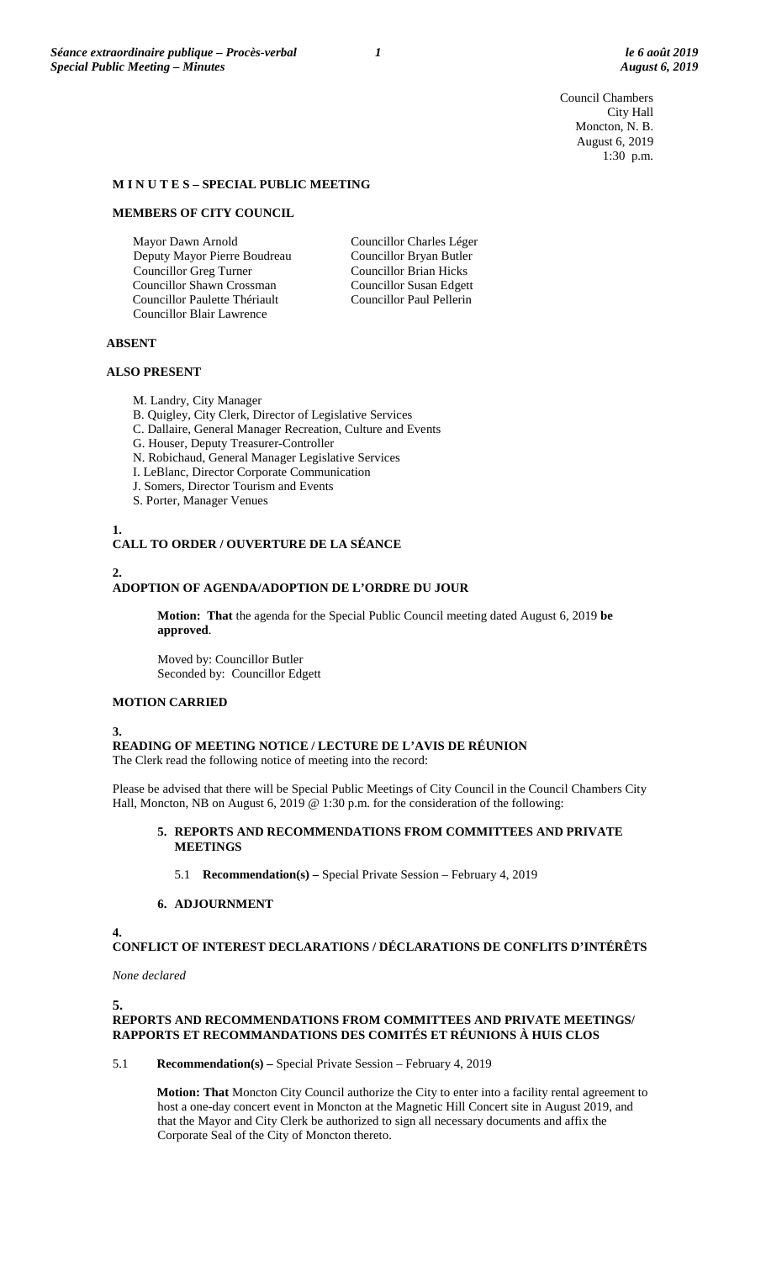Council Chambers City Hall Moncton, N. B. August 6, 2019 1:30 p.m.

#### **M I N U T E S – SPECIAL PUBLIC MEETING**

#### **MEMBERS OF CITY COUNCIL**

Mayor Dawn Arnold Deputy Mayor Pierre Boudreau Councillor Greg Turner Councillor Shawn Crossman Councillor Paulette Thériault Councillor Blair Lawrence

Councillor Charles Léger Councillor Bryan Butler Councillor Brian Hicks Councillor Susan Edgett Councillor Paul Pellerin

#### **ABSENT**

#### **ALSO PRESENT**

- M. Landry, City Manager
- B. Quigley, City Clerk, Director of Legislative Services
- C. Dallaire, General Manager Recreation, Culture and Events
- G. Houser, Deputy Treasurer-Controller
- N. Robichaud, General Manager Legislative Services
- I. LeBlanc, Director Corporate Communication
- J. Somers, Director Tourism and Events
- S. Porter, Manager Venues

# **CALL TO ORDER / OUVERTURE DE LA SÉANCE 2.**

## **ADOPTION OF AGENDA/ADOPTION DE L'ORDRE DU JOUR**

**Motion: That** the agenda for the Special Public Council meeting dated August 6, 2019 **be approved**.

Moved by: Councillor Butler Seconded by: Councillor Edgett

### **MOTION CARRIED**

#### **3.**

**1.**

**READING OF MEETING NOTICE / LECTURE DE L'AVIS DE RÉUNION**

The Clerk read the following notice of meeting into the record:

Please be advised that there will be Special Public Meetings of City Council in the Council Chambers City Hall, Moncton, NB on August 6, 2019 @ 1:30 p.m. for the consideration of the following:

## **5. REPORTS AND RECOMMENDATIONS FROM COMMITTEES AND PRIVATE MEETINGS**

5.1 **Recommendation(s) –** Special Private Session – February 4, 2019

## **6. ADJOURNMENT**

**4.**

**CONFLICT OF INTEREST DECLARATIONS / DÉCLARATIONS DE CONFLITS D'INTÉRÊTS**

*None declared*

## **REPORTS AND RECOMMENDATIONS FROM COMMITTEES AND PRIVATE MEETINGS/ RAPPORTS ET RECOMMANDATIONS DES COMITÉS ET RÉUNIONS À HUIS CLOS**

5.1 **Recommendation(s) –** Special Private Session – February 4, 2019

**Motion: That** Moncton City Council authorize the City to enter into a facility rental agreement to host a one-day concert event in Moncton at the Magnetic Hill Concert site in August 2019, and that the Mayor and City Clerk be authorized to sign all necessary documents and affix the Corporate Seal of the City of Moncton thereto.

**<sup>5.</sup>**